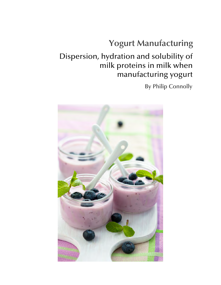# **Yogurt Manufacturing**

## Dispersion, hydration and solubility of milk proteins in milk when manufacturing yogurt

By Philip Connolly

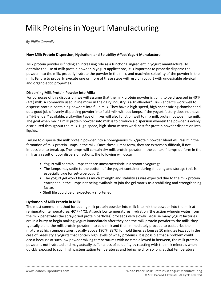## Milk Proteins in Yogurt Manufacturing

*By Philip Connolly* 

### **How Milk Protein Dispersion, Hydration, and Solubility Affect Yogurt Manufacture**

Milk protein powder is finding an increasing role as a functional ingredient in yogurt manufacture. To optimize the use of milk protein powder in yogurt applications, it is important to properly disperse the powder into the milk, properly hydrate the powder in the milk, and maximize solubility of the powder in the milk. Failure to properly execute one or more of these steps will result in yogurt with undesirable physical and organoleptic properties.

#### **Dispersing Milk Protein Powder into Milk:**

For purposes of this discussion, we will assume that the milk protein powder is going to be dispersed in 40°F (4°C) milk. A commonly used inline mixer in the dairy industry is a Tri-Blender®. Tri-Blender®s work well to disperse protein-containing powders into fluid milk. They have a high-speed, high-shear mixing chamber and do a good job of evenly dispersing powder into fluid milk without lumps. If the yogurt factory does not have a Tri-Blender<sup>®</sup> available, a Likwifier type of mixer will also function well to mix milk protein powder into milk. The goal when mixing milk protein powder into milk is to produce a dispersion wherein the powder is evenly distributed throughout the milk. High-speed, high-shear mixers work best for protein powder dispersion into liquids.

Failure to disperse the milk protein powder into a homogenous milk/protein powder blend will result in the formation of milk protein lumps in the milk. Once these lumps form, they are extremely difficult, if not impossible, to break up. The lumps will contain dry milk protein powder in the center. If lumps do form in the milk as a result of poor dispersion actions, the following will occur:

- Yogurt will contain lumps that are uncharacteristic in a smooth yogurt gel.
- The lumps may settle to the bottom of the yogurt container during shipping and storage (this is especially true for set-type yogurt).
- The yogurt gel won't have as much strength and stability as was expected due to the milk protein entrapped in the lumps not being available to join the gel matrix as a stabilizing and strengthening factor.
- Shelf life could be unexpectedly shortened.

### **Hydration of Milk Protein in Milk:**

The most common method for adding milk protein powder into milk is to mix the powder into the milk at refrigeration temperatures, 40°F (4°C). At such low temperatures, hydration (the action wherein water from the milk penetrates the spray-dried protein particles) proceeds very slowly. Because many yogurt factories are in a hurry to begin making yogurt immediately after they add the milk protein powder to the milk, they typically blend the milk protein powder into cold milk and then immediately proceed to pasteurize the mixture at high temperatures, usually above 190°F (88°C) for hold times as long as 10 minutes (except in the case of Greek style yogurts that contain high levels of whey proteins). It is possible that a problem could occur because at such low powder mixing temperatures with no time allowed in between, the milk protein powder is not hydrated and may actually suffer a loss of solubility by reacting with the milk minerals when quickly exposed to such high pasteurization temperatures and being held for so long at that temperature.